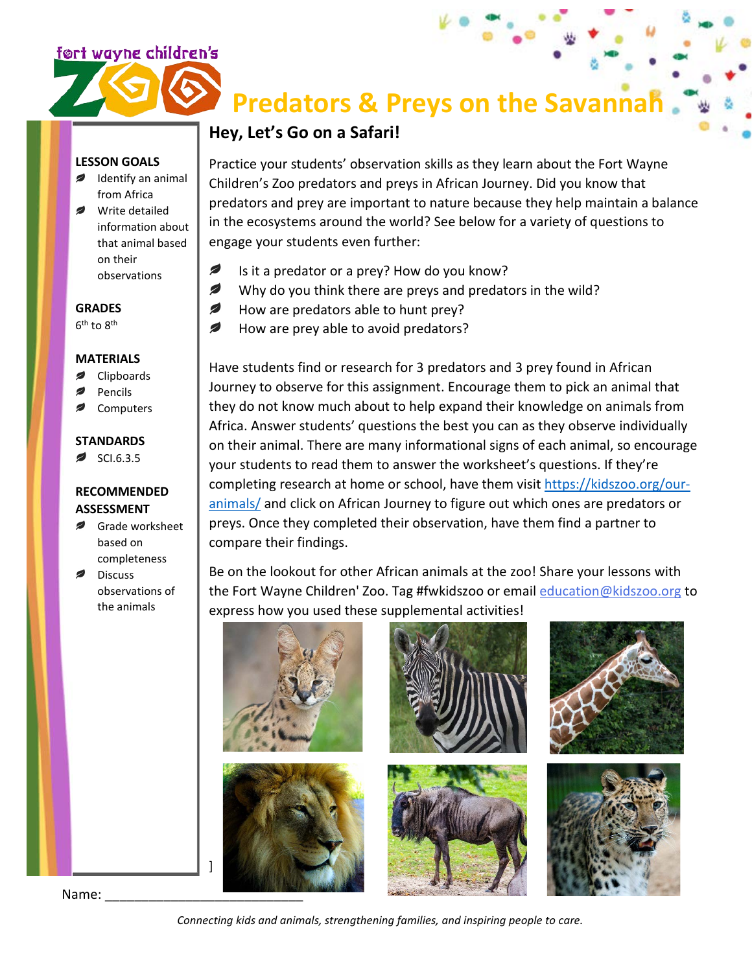### <u>ført wayne children's</u>

## **Predators & Preys on the Savannah**

## **Hey, Let's Go on a Safari!**

Practice your students' observation skills as they learn about the Fort Wayne Children's Zoo predators and preys in African Journey. Did you know that predators and prey are important to nature because they help maintain a balance in the ecosystems around the world? See below for a variety of questions to engage your students even further:

- Ø Is it a predator or a prey? How do you know?
- Ø Why do you think there are preys and predators in the wild?
- Ø How are predators able to hunt prey?
- Ø How are prey able to avoid predators?

Have students find or research for 3 predators and 3 prey found in African Journey to observe for this assignment. Encourage them to pick an animal that they do not know much about to help expand their knowledge on animals from Africa. Answer students' questions the best you can as they observe individually on their animal. There are many informational signs of each animal, so encourage your students to read them to answer the worksheet's questions. If they're completing research at home or school, have them visit [https://kidszoo.org/our](https://kidszoo.org/our-animals/)[animals/](https://kidszoo.org/our-animals/) and click on African Journey to figure out which ones are predators or preys. Once they completed their observation, have them find a partner to compare their findings.

Be on the lookout for other African animals at the zoo! Share your lessons with the Fort Wayne Children' Zoo. Tag #fwkidszoo or email [education@kidszoo.org](mailto:education@kidszoo.org) to express how you used these supplemental activities!



#### **LESSON GOALS**

- Identify an animal from Africa
- Write detailed information about that animal based on their observations

**GRADES** 6th to 8th

#### **MATERIALS**

- Clipboards
- Pencils
- Computers

#### **STANDARDS**

SCI.6.3.5

#### **RECOMMENDED ASSESSMENT**

- Grade worksheet based on completeness
- **Discuss** observations of the animals

Name:

*Connecting kids and animals, strengthening families, and inspiring people to care.*